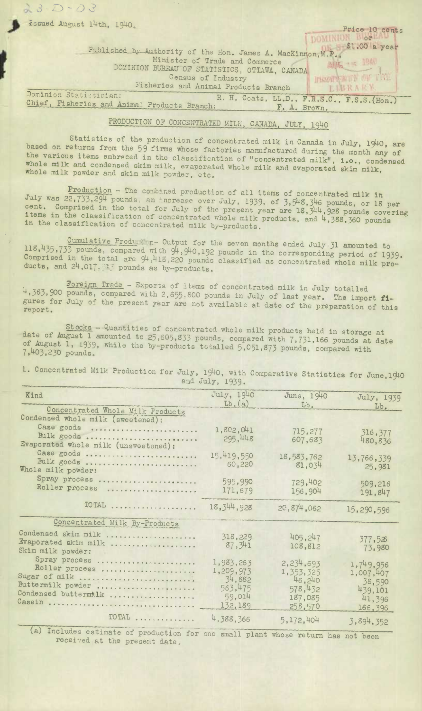*issued August 14th, 1940.* Price 10 cents *or*  Published by Authority of the Hon. James A. MacKinnon, M.P.,  $$1.00$  a year Minister of Trade and Commerce 1940 DOMINION BUREAU OF STATISTICS, OTTAWA, CANADA month can be the Census of Industry isheries and Animal Products Branch **LIBRARY** Dominion Statistician: R. H. Coats, LL.D., F.R.S.C., F.S.S. (Hon.) Chief, Fisheries and Animal Products Branch: F. A. Brown.

H 3. D - 03

## PRODUCTION OF CONCENTRATED MILK, CANADA, JULY, 1940

Statistics of the production of concentrated milk in Canada in July, 1940, are based on returns from the 59 firms whose factories manufactured during the month any of the various items embraced in the classification of "co whole milk and condensed skim milk, evaporated whole milk and evaporated skim milk, whole milk powder and skim milk powder, etc.

Froduction - The combined production of all items of concentrated milk in<br>July was 22,733,294 pounds, an increase over July, 1939, of 3,548,346 pounds, or 18 per<br>cent. Comprised in the total for July of the present year ar cent. Comprised in the total for July of the present year are 18,344,928 pounds covering<br>items in the classification of concentrated whole milk products, and 11,788,760 items in the classification of concentrated whole milk products, and 4,388,360 pounds in the classification of concentrated milk by-products.

Cumulative Production-Output for the seven months ended July 31 amounted to 118,435,733 pounds, compared with  $94,940,192$  pounds in the corresponding period of 1939.<br>Comprised in the total are  $94,418,220$  pounds classif

Poreign Trade - Exports of items of concentrated milk in July totalled <sup>4</sup>,363,900 pounds, compared with 2,655.800 pounds in July of last year. The import **fi**gures for July of the present year are not available at date of the preparation of this report.

Stocks -- Quantities of concentrated whole milk products held in storage at date of August 1 amounted to 25,605,833 pounds, compared with 7,731,166 pounds at date of August 1, 1939, while the by-products totalled 5,051,873 pounds, compared with 7,403,230 pounds.

L. Concentrated Milk Production for July, *194*0, with Comparative Statistics for June,140 aid July, *1939.* 

| Kind                                                                                          | July, 1940<br>$Lb.$ (a)                                          | June, 1940<br>Lb.                                                   | July, 1939<br>Lb.                                                |
|-----------------------------------------------------------------------------------------------|------------------------------------------------------------------|---------------------------------------------------------------------|------------------------------------------------------------------|
| Concentrated Whole Milk Products<br>Condensed whole milk (sweetened):                         |                                                                  |                                                                     |                                                                  |
| Case goods<br>Bulk goods<br>Evaporated whole milk (unsweetened):                              | 1,802,041<br>295,448                                             | 715,277<br>607,683                                                  | 316,377<br>480,836                                               |
| Case goods<br>Bulk goods<br>Whole milk powder:                                                | 15,419,550<br>60,220                                             | 18,583,762<br>81,034                                                | 13,766,339<br>25,981                                             |
| Spray process<br>Roller process                                                               | 595,990<br>171,679                                               | 729,402<br>156,904                                                  | 509,216<br>191,847                                               |
| TOTAL                                                                                         | 18, 344, 928                                                     | 20, 874, 062                                                        | 15,290,596                                                       |
| Concentrated Milk By-Products                                                                 |                                                                  |                                                                     |                                                                  |
| Condensed skim milk<br>Evaporated skim milk<br>Skim milk powder:                              | 318,229<br>87,341                                                | 405,247<br>108,812                                                  | 377,58<br>73,980                                                 |
| Spray process<br>Roller process<br>Sugar of milk<br>Buttermilk powder<br>Condensed buttermilk | 1,983,263<br>1,209,973<br>34,882<br>563,475<br>59,014<br>132,189 | 2,234,693<br>1, 353, 325<br>46,240<br>578,432<br>187,085<br>258,570 | 1,749,956<br>1,007,407<br>38,590<br>439,101<br>41,396<br>166,396 |
| TOTAL<br>$\sqrt{2}$                                                                           | 4,388,366                                                        | 5,172,404                                                           | 3,894,352                                                        |

(a) Includes estimate of production for one small plant whose retun has not been received at the present date.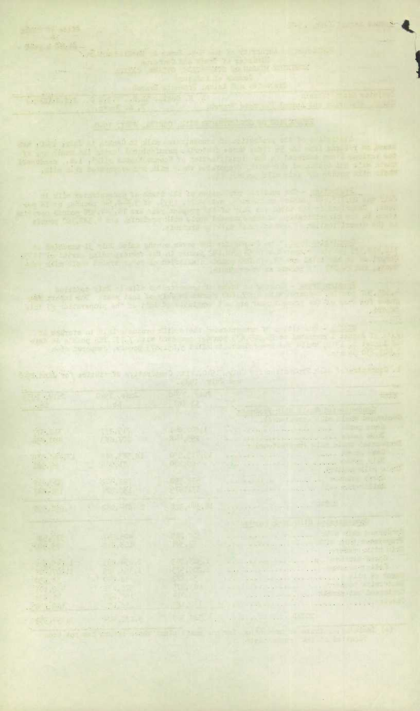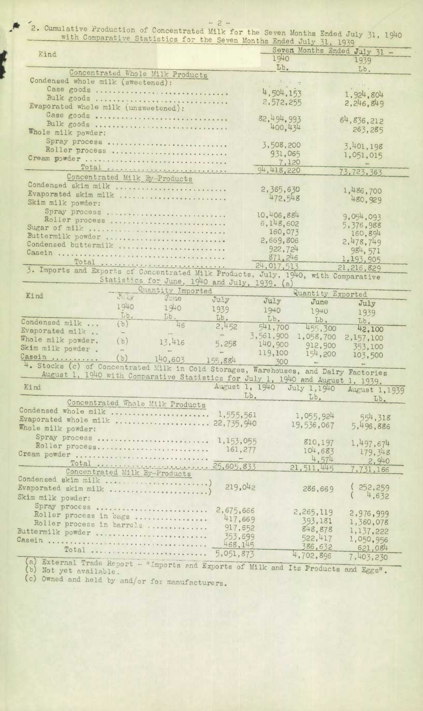|                                                                                         | $-2-$ |  |  |
|-----------------------------------------------------------------------------------------|-------|--|--|
| 2. Cumulative Production of Concentrated Milk for the Seven Months Ended July 31, 1940/ |       |  |  |
| with Comparative Statistics for the Seven Months Ended July 31, 1939                    |       |  |  |

| with comparative Statistics for the Seven Months Ended July 31, 1939                                                                                                                                                                                     |           |                     |                   |                                            |
|----------------------------------------------------------------------------------------------------------------------------------------------------------------------------------------------------------------------------------------------------------|-----------|---------------------|-------------------|--------------------------------------------|
| Kind                                                                                                                                                                                                                                                     |           |                     |                   | Seven Months Ended July 31 -               |
|                                                                                                                                                                                                                                                          |           | 1940                |                   | 1939                                       |
|                                                                                                                                                                                                                                                          |           | Lb.                 |                   | Lb.                                        |
| Concentrated Whole Milk Products                                                                                                                                                                                                                         |           |                     |                   |                                            |
| Condensed whole milk (sweetened):                                                                                                                                                                                                                        |           |                     |                   |                                            |
| Case goods                                                                                                                                                                                                                                               |           | 4,504,153           |                   | 1,924,804                                  |
| Bulk goods                                                                                                                                                                                                                                               |           | 2,572,255           |                   | 2,246,849                                  |
| Evaporated whole milk (unsweetened):                                                                                                                                                                                                                     |           |                     |                   |                                            |
| Case goods                                                                                                                                                                                                                                               |           | 82,494,993          |                   | 64, 836, 212                               |
| Bulk goods                                                                                                                                                                                                                                               |           | 400.434             |                   | 263,285                                    |
| Whole milk powder:                                                                                                                                                                                                                                       |           |                     |                   |                                            |
| Spray process                                                                                                                                                                                                                                            |           | 3,508,200           |                   |                                            |
| Roller process                                                                                                                                                                                                                                           |           | 931,065             |                   | 3,401,198                                  |
| Cream powder                                                                                                                                                                                                                                             |           |                     |                   | 1,051,015                                  |
| Total                                                                                                                                                                                                                                                    |           | 7,120<br>94,418,220 |                   |                                            |
| Concentrated Milk By-Products                                                                                                                                                                                                                            |           |                     |                   | 73,723,363                                 |
| Condensed skim milk                                                                                                                                                                                                                                      |           |                     |                   |                                            |
|                                                                                                                                                                                                                                                          |           | 2,365,630           |                   | 1,486,700                                  |
| Evaporated skim milk<br>Skim milk powder:                                                                                                                                                                                                                |           | 472,548             |                   | 480,929                                    |
|                                                                                                                                                                                                                                                          |           |                     |                   |                                            |
| Spray process                                                                                                                                                                                                                                            |           | 10,406,884          |                   | 9,054,093                                  |
| Roller process                                                                                                                                                                                                                                           |           | 6,148,602           |                   | 5,376,988                                  |
| Sugar of milk                                                                                                                                                                                                                                            |           | 160,073             |                   | 160,894                                    |
| Buttermilk powder                                                                                                                                                                                                                                        |           | 2,669,806           |                   | 2,478,749                                  |
| Condensed buttermilk                                                                                                                                                                                                                                     |           | 922, 724            |                   | 984, 571                                   |
|                                                                                                                                                                                                                                                          |           | 871,246             |                   | 1,193,905                                  |
|                                                                                                                                                                                                                                                          |           | 24,017,513          |                   | 21,216,829                                 |
| 3. Imports and Exports of Concentrated Milk Products, July, 1940, with Comparative                                                                                                                                                                       |           |                     |                   |                                            |
| Statistics for June, 1940 and July, 1939. (a)                                                                                                                                                                                                            |           |                     |                   |                                            |
| Quantity Imported                                                                                                                                                                                                                                        |           |                     | Quantity Exported |                                            |
| Kind<br>まじんず<br>Tano                                                                                                                                                                                                                                     | July      | July                | June              |                                            |
| 1940<br>1940                                                                                                                                                                                                                                             | 1939      | 1940                |                   | July                                       |
| Lb.<br>Lb.                                                                                                                                                                                                                                               | Lb.       |                     | 1940              | 1939                                       |
| Condensed milk<br>(b)<br>46                                                                                                                                                                                                                              | 2,452     | Lb.                 | Lb.               | Lb.                                        |
| Evaporated milk<br>$\longrightarrow$<br>$\overline{a}$                                                                                                                                                                                                   |           | 541,700             | 455,300           | 42,100                                     |
| Whole milk powder.<br>(b)<br>13,416                                                                                                                                                                                                                      |           | 3,561,900           | 1,058,700         | 2,157,100                                  |
| Skim milk powder.<br>$_{\rm{me}}$                                                                                                                                                                                                                        | 5,258     | 140,900             | 912,900           | 353,100                                    |
| Casein<br>(b)<br>140,603                                                                                                                                                                                                                                 |           | 119,100             | 154,200           | 103,500                                    |
|                                                                                                                                                                                                                                                          | 155,884   | 300                 |                   |                                            |
| 4. Stocks (c) of Concentrated Milk in Cold Storages, Warehouses, and Dairy Factories                                                                                                                                                                     |           |                     |                   |                                            |
| August 1, 1940 with Comparative Statistics for July 1, 1940 and August 1, 1939.                                                                                                                                                                          |           |                     |                   |                                            |
| Kind                                                                                                                                                                                                                                                     |           |                     |                   | August 1, 1940 July 1, 1940 August 1, 1939 |
|                                                                                                                                                                                                                                                          |           | Lb.                 | Lb.               | Lb.                                        |
| Concentrated Whole Milk Products                                                                                                                                                                                                                         |           |                     |                   |                                            |
| Condensed whole milk                                                                                                                                                                                                                                     | 1,555,561 |                     | 1,055,924         | 554,318                                    |
| Evaporated whole milk  22,735,940                                                                                                                                                                                                                        |           |                     | 19,536,067        | 5,496,886                                  |
| Whole milk powder:                                                                                                                                                                                                                                       |           |                     |                   |                                            |
| Spray process  1,153,055                                                                                                                                                                                                                                 |           |                     | 810,197           | 1,497.674                                  |
| Roller process 161,277                                                                                                                                                                                                                                   |           |                     | 104,683           |                                            |
|                                                                                                                                                                                                                                                          | $\sim$    |                     | 4,574             | 179,348                                    |
|                                                                                                                                                                                                                                                          |           |                     | 21, 511, 445      | 2,940                                      |
| Concentrated Milk By-Products                                                                                                                                                                                                                            |           |                     |                   | 7,731,166                                  |
|                                                                                                                                                                                                                                                          |           |                     |                   |                                            |
| Evaporated skim milk                                                                                                                                                                                                                                     | 219,042   |                     | 286,669           | 252,259                                    |
| Skim milk powder:                                                                                                                                                                                                                                        |           |                     |                   | 4,632                                      |
| Spray process                                                                                                                                                                                                                                            |           |                     |                   |                                            |
| Roller process in bags                                                                                                                                                                                                                                   | 2,675,666 |                     | 2,265,119         | 2,976,999                                  |
|                                                                                                                                                                                                                                                          | 417,669   |                     | 393,181           | 1,360,078                                  |
| Roller process in barrels                                                                                                                                                                                                                                | 917,652   |                     | 848,878           | 1,137,222                                  |
| Buttermilk powder                                                                                                                                                                                                                                        | 353,699   |                     | 522,417           | 1,050,956                                  |
|                                                                                                                                                                                                                                                          | 468,145   |                     | 386,632           | 621,084                                    |
| Total  5,051,873<br><u> De la Barbara de la Barbara de la Barbara de la Barbara de la Barbara de la Barbara de la Barbara de la Barbara de la Barbara de la Barbara de la Barbara de la Barbara de la Barbara de la Barbara de la Barbara de la Barb</u> |           |                     | 4,702,896         | 7,403,230                                  |
| $(n)$ $\Gamma$ $\nu$ $+$ $\alpha$ $\nu$ $\nu$ $ \Gamma$ $\Gamma$                                                                                                                                                                                         |           |                     |                   |                                            |

Not yet available. The imports and Exports of Milk and Its Products and Eggs".

Owned and held by and/or for manufacturers.